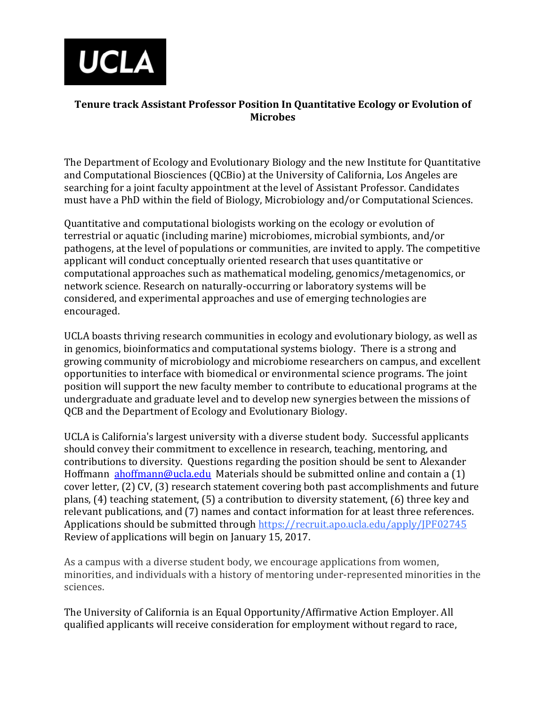

## **Tenure track Assistant Professor Position In Quantitative Ecology or Evolution of Microbes**

The Department of Ecology and Evolutionary Biology and the new Institute for Quantitative and Computational Biosciences (QCBio) at the University of California, Los Angeles are searching for a joint faculty appointment at the level of Assistant Professor. Candidates must have a PhD within the field of Biology, Microbiology and/or Computational Sciences.

Quantitative and computational biologists working on the ecology or evolution of terrestrial or aquatic (including marine) microbiomes, microbial symbionts, and/or pathogens, at the level of populations or communities, are invited to apply. The competitive applicant will conduct conceptually oriented research that uses quantitative or computational approaches such as mathematical modeling, genomics/metagenomics, or network science. Research on naturally-occurring or laboratory systems will be considered, and experimental approaches and use of emerging technologies are encouraged.

UCLA boasts thriving research communities in ecology and evolutionary biology, as well as in genomics, bioinformatics and computational systems biology. There is a strong and growing community of microbiology and microbiome researchers on campus, and excellent opportunities to interface with biomedical or environmental science programs. The joint position will support the new faculty member to contribute to educational programs at the undergraduate and graduate level and to develop new synergies between the missions of QCB and the Department of Ecology and Evolutionary Biology.

UCLA is California's largest university with a diverse student body. Successful applicants should convey their commitment to excellence in research, teaching, mentoring, and contributions to diversity. Questions regarding the position should be sent to Alexander Hoffmann [ahoffmann@ucla.edu](mailto:ahoffmann@ucla.edu) Materials should be submitted online and contain a (1) cover letter, (2) CV, (3) research statement covering both past accomplishments and future plans, (4) teaching statement, (5) a contribution to diversity statement, (6) three key and relevant publications, and (7) names and contact information for at least three references. Applications should be submitted through https://recruit.apo.ucla.edu/apply/JPF02745 Review of applications will begin on January 15, 2017.

As a campus with a diverse student body, we encourage applications from women, minorities, and individuals with a history of mentoring under-represented minorities in the sciences.

The University of California is an Equal Opportunity/Affirmative Action Employer. All qualified applicants will receive consideration for employment without regard to race,